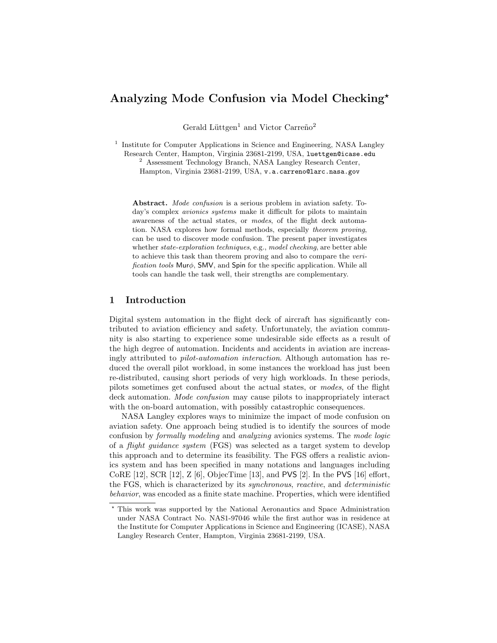# **Analyzing Mode Confusion via Model Checking***?*

Gerald Lüttgen<sup>1</sup> and Victor Carreño<sup>2</sup>

<sup>1</sup> Institute for Computer Applications in Science and Engineering, NASA Langley Research Center, Hampton, Virginia 23681-2199, USA, luettgen@icase.edu <sup>2</sup> Assessment Technology Branch, NASA Langley Research Center, Hampton, Virginia 23681-2199, USA, v.a.carreno@larc.nasa.gov

**Abstract.** Mode confusion is a serious problem in aviation safety. Today's complex avionics systems make it difficult for pilots to maintain awareness of the actual states, or modes, of the flight deck automation. NASA explores how formal methods, especially theorem proving, can be used to discover mode confusion. The present paper investigates whether *state-exploration techniques*, e.g., *model checking*, are better able to achieve this task than theorem proving and also to compare the verification tools Murφ, SMV, and Spin for the specific application. While all tools can handle the task well, their strengths are complementary.

### **1 Introduction**

Digital system automation in the flight deck of aircraft has significantly contributed to aviation efficiency and safety. Unfortunately, the aviation community is also starting to experience some undesirable side effects as a result of the high degree of automation. Incidents and accidents in aviation are increasingly attributed to pilot-automation interaction. Although automation has reduced the overall pilot workload, in some instances the workload has just been re-distributed, causing short periods of very high workloads. In these periods, pilots sometimes get confused about the actual states, or modes, of the flight deck automation. *Mode confusion* may cause pilots to inappropriately interact with the on-board automation, with possibly catastrophic consequences.

NASA Langley explores ways to minimize the impact of mode confusion on aviation safety. One approach being studied is to identify the sources of mode confusion by formally modeling and analyzing avionics systems. The mode logic of a flight guidance system (FGS) was selected as a target system to develop this approach and to determine its feasibility. The FGS offers a realistic avionics system and has been specified in many notations and languages including CoRE [12], SCR [12], Z [6], ObjecTime [13], and PVS [2]. In the PVS [16] effort, the FGS, which is characterized by its synchronous, reactive, and deterministic behavior, was encoded as a finite state machine. Properties, which were identified

<sup>?</sup> This work was supported by the National Aeronautics and Space Administration under NASA Contract No. NAS1-97046 while the first author was in residence at the Institute for Computer Applications in Science and Engineering (ICASE), NASA Langley Research Center, Hampton, Virginia 23681-2199, USA.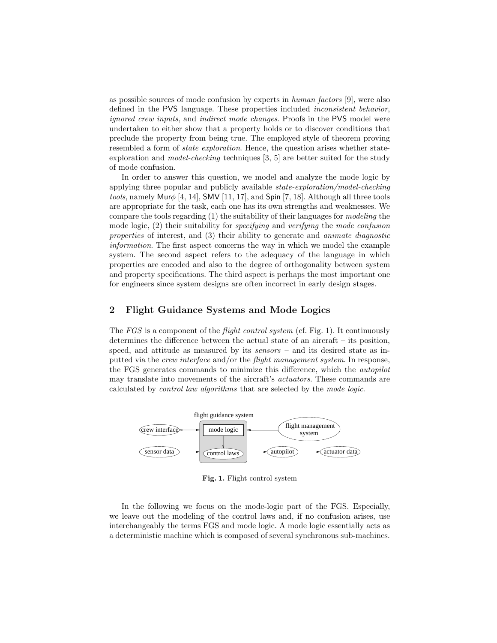as possible sources of mode confusion by experts in  $human \ factors$  [9], were also defined in the PVS language. These properties included inconsistent behavior, ignored crew inputs, and indirect mode changes. Proofs in the PVS model were undertaken to either show that a property holds or to discover conditions that preclude the property from being true. The employed style of theorem proving resembled a form of *state exploration*. Hence, the question arises whether stateexploration and model-checking techniques [3, 5] are better suited for the study of mode confusion.

In order to answer this question, we model and analyze the mode logic by applying three popular and publicly available state-exploration/model-checking *tools*, namely Mur $\phi$  [4, 14], SMV [11, 17], and Spin [7, 18]. Although all three tools are appropriate for the task, each one has its own strengths and weaknesses. We compare the tools regarding  $(1)$  the suitability of their languages for *modeling* the mode logic, (2) their suitability for *specifying* and *verifying* the mode confusion properties of interest, and (3) their ability to generate and *animate diagnostic* information. The first aspect concerns the way in which we model the example system. The second aspect refers to the adequacy of the language in which properties are encoded and also to the degree of orthogonality between system and property specifications. The third aspect is perhaps the most important one for engineers since system designs are often incorrect in early design stages.

# **2 Flight Guidance Systems and Mode Logics**

The FGS is a component of the *flight control system* (cf. Fig. 1). It continuously determines the difference between the actual state of an aircraft – its position, speed, and attitude as measured by its *sensors* – and its desired state as inputted via the crew interface and/or the flight management system. In response, the FGS generates commands to minimize this difference, which the autopilot may translate into movements of the aircraft's actuators. These commands are calculated by control law algorithms that are selected by the mode logic.



**Fig. 1.** Flight control system

In the following we focus on the mode-logic part of the FGS. Especially, we leave out the modeling of the control laws and, if no confusion arises, use interchangeably the terms FGS and mode logic. A mode logic essentially acts as a deterministic machine which is composed of several synchronous sub-machines.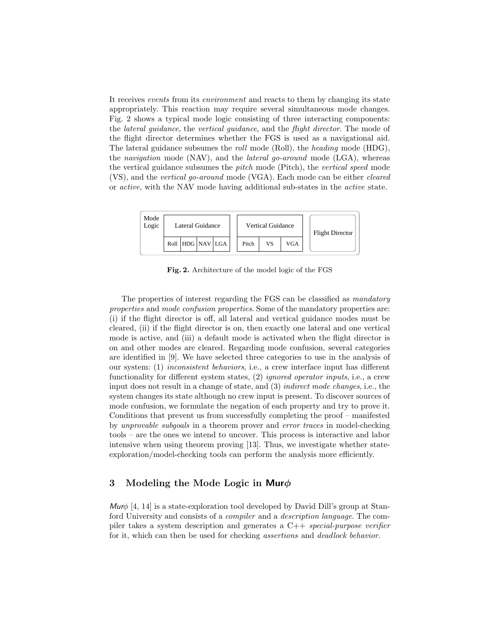It receives events from its environment and reacts to them by changing its state appropriately. This reaction may require several simultaneous mode changes. Fig. 2 shows a typical mode logic consisting of three interacting components: the lateral guidance, the vertical guidance, and the flight director. The mode of the flight director determines whether the FGS is used as a navigational aid. The lateral guidance subsumes the roll mode (Roll), the heading mode (HDG), the navigation mode (NAV), and the lateral go-around mode (LGA), whereas the vertical guidance subsumes the *pitch* mode (Pitch), the vertical speed mode (VS), and the *vertical go-around* mode (VGA). Each mode can be either *cleared* or active, with the NAV mode having additional sub-states in the active state.



**Fig. 2.** Architecture of the model logic of the FGS

The properties of interest regarding the FGS can be classified as *mandatory* properties and mode confusion properties. Some of the mandatory properties are: (i) if the flight director is off, all lateral and vertical guidance modes must be cleared, (ii) if the flight director is on, then exactly one lateral and one vertical mode is active, and (iii) a default mode is activated when the flight director is on and other modes are cleared. Regarding mode confusion, several categories are identified in [9]. We have selected three categories to use in the analysis of our system: (1) inconsistent behaviors, i.e., a crew interface input has different functionality for different system states, (2) *ignored operator inputs*, i.e., a crew input does not result in a change of state, and (3) indirect mode changes, i.e., the system changes its state although no crew input is present. To discover sources of mode confusion, we formulate the negation of each property and try to prove it. Conditions that prevent us from successfully completing the proof – manifested by unprovable subgoals in a theorem prover and error traces in model-checking tools – are the ones we intend to uncover. This process is interactive and labor intensive when using theorem proving [13]. Thus, we investigate whether stateexploration/model-checking tools can perform the analysis more efficiently.

## **3 Modeling the Mode Logic in Mur***φ*

Mur $\phi$  [4, 14] is a state-exploration tool developed by David Dill's group at Stanford University and consists of a *compiler* and a *description language*. The compiler takes a system description and generates a C++ special-purpose verifier for it, which can then be used for checking *assertions* and *deadlock behavior*.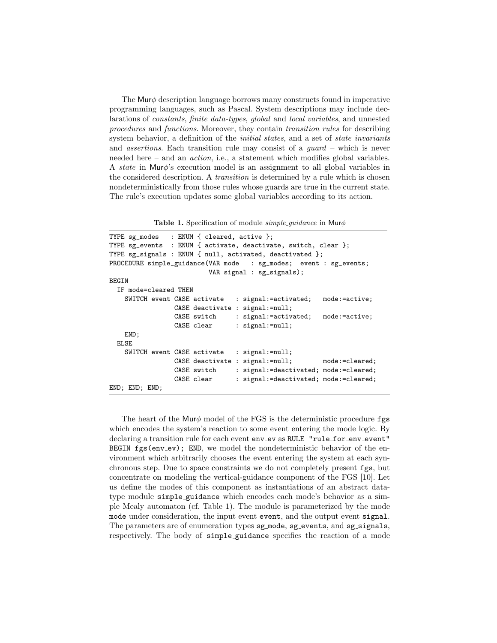The Mur $\phi$  description language borrows many constructs found in imperative programming languages, such as Pascal. System descriptions may include declarations of constants, finite data-types, global and local variables, and unnested procedures and functions. Moreover, they contain transition rules for describing system behavior, a definition of the *initial states*, and a set of *state invariants* and *assertions*. Each transition rule may consist of a *quard* – which is never needed here – and an action, i.e., a statement which modifies global variables. A state in Murφ's execution model is an assignment to all global variables in the considered description. A transition is determined by a rule which is chosen nondeterministically from those rules whose guards are true in the current state. The rule's execution updates some global variables according to its action.

**Table 1.** Specification of module  $simple\_guidance$  in Mur $\phi$ 

```
TYPE sg_modes : ENUM { cleared, active };
TYPE sg_events : ENUM { activate, deactivate, switch, clear };
TYPE sg_signals : ENUM { null, activated, deactivated };
PROCEDURE simple_guidance(VAR mode : sg_modes; event : sg_events;
                        VAR signal : sg_signals);
BEGIN
 IF mode=cleared THEN
   SWITCH event CASE activate : signal:=activated; mode:=active;
                CASE deactivate : signal:=null;
                CASE switch : signal:=activated; mode:=active;
                CASE clear : signal:=null;
   END;
 ELSE
   SWITCH event CASE activate : signal:=null;
                CASE deactivate : signal:=null; mode:=cleared;
                CASE switch : signal:=deactivated; mode:=cleared;
                CASE clear : signal:=deactivated; mode:=cleared;
END; END; END;
```
The heart of the Mur $\phi$  model of the FGS is the deterministic procedure fgs which encodes the system's reaction to some event entering the mode logic. By declaring a transition rule for each event env\_ev as RULE "rule\_for\_env\_event" BEGIN  $fgs(\text{env\_ev})$ ; END, we model the nondeterministic behavior of the environment which arbitrarily chooses the event entering the system at each synchronous step. Due to space constraints we do not completely present fgs, but concentrate on modeling the vertical-guidance component of the FGS [10]. Let us define the modes of this component as instantiations of an abstract datatype module simple guidance which encodes each mode's behavior as a simple Mealy automaton (cf. Table 1). The module is parameterized by the mode mode under consideration, the input event event, and the output event signal. The parameters are of enumeration types sg\_mode, sg\_events, and sg\_signals, respectively. The body of simple guidance specifies the reaction of a mode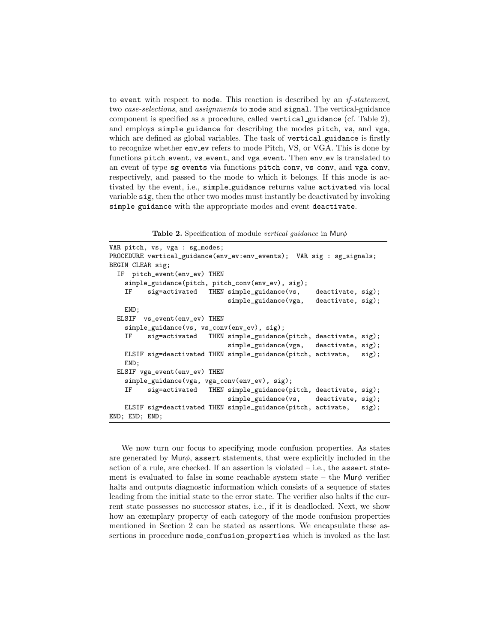to event with respect to mode. This reaction is described by an *if-statement*, two case-selections, and assignments to mode and signal. The vertical-guidance component is specified as a procedure, called vertical guidance (cf. Table 2), and employs simple guidance for describing the modes pitch, vs, and vga, which are defined as global variables. The task of vertical guidance is firstly to recognize whether env ev refers to mode Pitch, VS, or VGA. This is done by functions pitch\_event, vs\_event, and vga\_event. Then env\_ev is translated to an event of type sg\_events via functions pitch\_conv, vs\_conv, and vga\_conv, respectively, and passed to the mode to which it belongs. If this mode is activated by the event, i.e., simple guidance returns value activated via local variable sig, then the other two modes must instantly be deactivated by invoking simple guidance with the appropriate modes and event deactivate.

**Table 2.** Specification of module vertical guidance in Murφ

```
VAR pitch, vs, vga : sg_modes;
PROCEDURE vertical_guidance(env_ev:env_events); VAR sig : sg_signals;
BEGIN CLEAR sig;
 IF pitch_event(env_ev) THEN
   simple_guidance(pitch, pitch_conv(env_ev), sig);
   IF sig=activated THEN simple_guidance(vs, deactivate, sig);
                              simple_guidance(vga, deactivate, sig);
   END;
 ELSIF vs_event(env_ev) THEN
   simple_guidance(vs, vs_conv(env_ev), sig);
   IF sig=activated THEN simple_guidance(pitch, deactivate, sig);
                              simple_guidance(vga, deactivate, sig);
   ELSIF sig=deactivated THEN simple_guidance(pitch, activate, sig);
   END;
 ELSIF vga_event(env_ev) THEN
   simple_guidance(vga, vga_conv(env_ev), sig);
   IF sig=activated THEN simple_guidance(pitch, deactivate, sig);
                              simple_guidance(vs, deactivate, sig);
   ELSIF sig=deactivated THEN simple_guidance(pitch, activate, sig);
END; END; END;
```
We now turn our focus to specifying mode confusion properties. As states are generated by  $Mur\phi$ , assert statements, that were explicitly included in the action of a rule, are checked. If an assertion is violated  $-$  i.e., the assert statement is evaluated to false in some reachable system state – the Mur $\phi$  verifier halts and outputs diagnostic information which consists of a sequence of states leading from the initial state to the error state. The verifier also halts if the current state possesses no successor states, i.e., if it is deadlocked. Next, we show how an exemplary property of each category of the mode confusion properties mentioned in Section 2 can be stated as assertions. We encapsulate these assertions in procedure mode confusion properties which is invoked as the last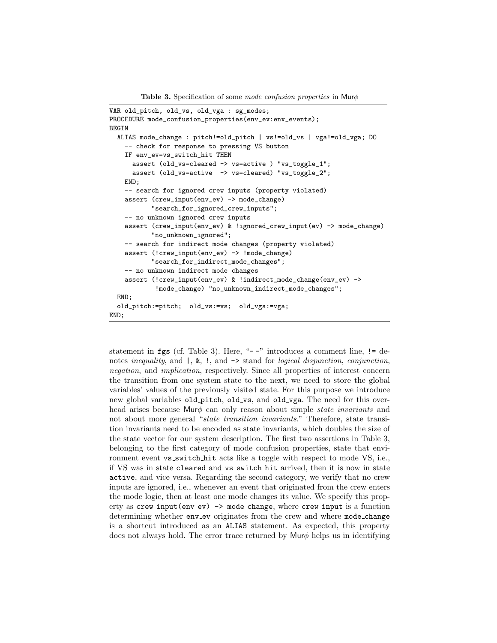```
VAR old_pitch, old_vs, old_vga : sg_modes;
PROCEDURE mode_confusion_properties(env_ev:env_events);
BEGIN
 ALIAS mode_change : pitch!=old_pitch | vs!=old_vs | vga!=old_vga; DO
    -- check for response to pressing VS button
    IF env_ev=vs_switch_hit THEN
     assert (old_vs=cleared -> vs=active ) "vs_toggle_1";
     assert (old_vs=active -> vs=cleared) "vs_toggle_2";
   END;
   -- search for ignored crew inputs (property violated)
   assert (crew_input(env_ev) -> mode_change)
           "search_for_ignored_crew_inputs";
   -- no unknown ignored crew inputs
   assert (crew_input(env_ev) & !ignored_crew_input(ev) -> mode_change)
           "no_unknown_ignored";
    -- search for indirect mode changes (property violated)
   assert (!crew_input(env_ev) -> !mode_change)
           "search_for_indirect_mode_changes";
   -- no unknown indirect mode changes
    assert (!crew_input(env_ev) & !indirect_mode_change(env_ev) ->
            !mode_change) "no_unknown_indirect_mode_changes";
 END;
 old_pitch:=pitch; old_vs:=vs; old_vga:=vga;
END;
```
statement in fgs (cf. Table 3). Here, " $-$ -" introduces a comment line,  $!=$  denotes *inequality*, and  $\vert$ ,  $\&$ ,  $\vert$ , and  $\rightarrow$  stand for *logical disjunction*, *conjunction*, negation, and *implication*, respectively. Since all properties of interest concern the transition from one system state to the next, we need to store the global variables' values of the previously visited state. For this purpose we introduce new global variables old pitch, old vs, and old vga. The need for this overhead arises because Mur $\phi$  can only reason about simple *state invariants* and not about more general "state transition invariants." Therefore, state transition invariants need to be encoded as state invariants, which doubles the size of the state vector for our system description. The first two assertions in Table 3, belonging to the first category of mode confusion properties, state that environment event vs\_switch\_hit acts like a toggle with respect to mode VS, i.e., if VS was in state cleared and vs\_switch\_hit arrived, then it is now in state active, and vice versa. Regarding the second category, we verify that no crew inputs are ignored, i.e., whenever an event that originated from the crew enters the mode logic, then at least one mode changes its value. We specify this property as crew\_input(env\_ev) -> mode\_change, where crew\_input is a function determining whether env\_ev originates from the crew and where mode\_change is a shortcut introduced as an ALIAS statement. As expected, this property does not always hold. The error trace returned by  $Mur\phi$  helps us in identifying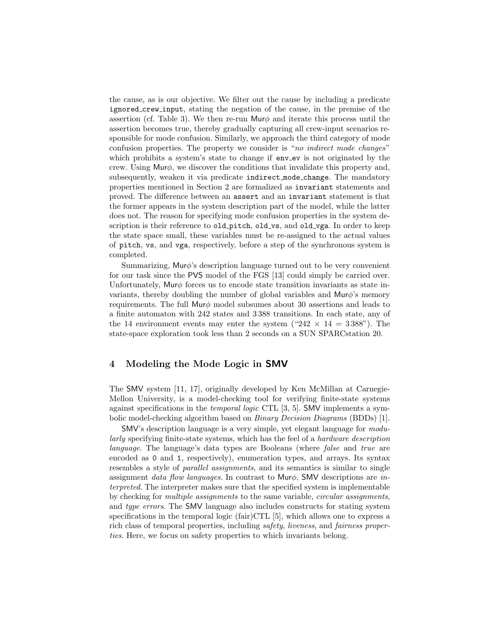the cause, as is our objective. We filter out the cause by including a predicate ignored crew input, stating the negation of the cause, in the premise of the assertion (cf. Table 3). We then re-run Mur $\phi$  and iterate this process until the assertion becomes true, thereby gradually capturing all crew-input scenarios responsible for mode confusion. Similarly, we approach the third category of mode confusion properties. The property we consider is "no indirect mode changes" which prohibits a system's state to change if env\_ev is not originated by the crew. Using Mur $\phi$ , we discover the conditions that invalidate this property and, subsequently, weaken it via predicate indirect mode change. The mandatory properties mentioned in Section 2 are formalized as invariant statements and proved. The difference between an assert and an invariant statement is that the former appears in the system description part of the model, while the latter does not. The reason for specifying mode confusion properties in the system description is their reference to old\_pitch, old\_vs, and old\_vga. In order to keep the state space small, these variables must be re-assigned to the actual values of pitch, vs, and vga, respectively, before a step of the synchronous system is completed.

Summarizing, Mur $\phi$ 's description language turned out to be very convenient for our task since the PVS model of the FGS [13] could simply be carried over. Unfortunately, Mur $\phi$  forces us to encode state transition invariants as state invariants, thereby doubling the number of global variables and  $Mur\phi$ 's memory requirements. The full  $Mur\phi$  model subsumes about 30 assertions and leads to a finite automaton with 242 states and 3 388 transitions. In each state, any of the 14 environment events may enter the system (" $242 \times 14 = 3388$ "). The state-space exploration took less than 2 seconds on a SUN SPARCstation 20.

## **4 Modeling the Mode Logic in SMV**

The SMV system [11, 17], originally developed by Ken McMillan at Carnegie-Mellon University, is a model-checking tool for verifying finite-state systems against specifications in the *temporal logic* CTL [3, 5]. SMV implements a symbolic model-checking algorithm based on *Binary Decision Diagrams* (BDDs) [1].

SMV's description language is a very simple, yet elegant language for modularly specifying finite-state systems, which has the feel of a hardware description language. The language's data types are Booleans (where *false* and *true* are encoded as 0 and 1, respectively), enumeration types, and arrays. Its syntax resembles a style of parallel assignments, and its semantics is similar to single assignment data flow languages. In contrast to Mur $\phi$ , SMV descriptions are interpreted. The interpreter makes sure that the specified system is implementable by checking for *multiple assignments* to the same variable, *circular assignments*, and type errors. The SMV language also includes constructs for stating system specifications in the temporal logic (fair)CTL [5], which allows one to express a rich class of temporal properties, including safety, liveness, and fairness properties. Here, we focus on safety properties to which invariants belong.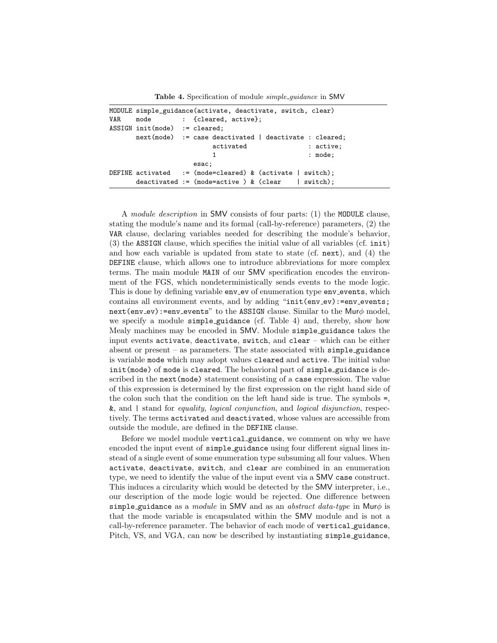|            |                                   | MODULE simple_guidance(activate, deactivate, switch, clear) |
|------------|-----------------------------------|-------------------------------------------------------------|
| <b>VAR</b> |                                   | mode : {cleared, active};                                   |
|            | $ASSIGN\ init(model)$ := cleared; |                                                             |
|            |                                   | $next(model)$ := case deactivated   deactivate : cleared;   |
|            |                                   | : active;<br>activated                                      |
|            |                                   | : mode;                                                     |
|            |                                   | $esac$ ;                                                    |
|            |                                   | DEFINE activated := (mode=cleared) & (activate   switch);   |
|            |                                   | deactivated := $(mode=active) & (clear \mid switch)$ ;      |

Table 4. Specification of module *simple\_quidance* in SMV

A module description in SMV consists of four parts: (1) the MODULE clause, stating the module's name and its formal (call-by-reference) parameters, (2) the VAR clause, declaring variables needed for describing the module's behavior, (3) the ASSIGN clause, which specifies the initial value of all variables (cf. init) and how each variable is updated from state to state (cf. next), and (4) the DEFINE clause, which allows one to introduce abbreviations for more complex terms. The main module MAIN of our SMV specification encodes the environment of the FGS, which nondeterministically sends events to the mode logic. This is done by defining variable env\_ev of enumeration type env\_events, which contains all environment events, and by adding "init(env\_ev):=env\_events; next(env\_ev):=env\_events" to the ASSIGN clause. Similar to the Mur $\phi$  model, we specify a module simple guidance (cf. Table 4) and, thereby, show how Mealy machines may be encoded in SMV. Module simple guidance takes the input events activate, deactivate, switch, and clear – which can be either absent or present – as parameters. The state associated with simple guidance is variable mode which may adopt values cleared and active. The initial value init(mode) of mode is cleared. The behavioral part of simple guidance is described in the next(mode) statement consisting of a case expression. The value of this expression is determined by the first expression on the right hand side of the colon such that the condition on the left hand side is true. The symbols =, &, and | stand for equality, logical conjunction, and logical disjunction, respectively. The terms activated and deactivated, whose values are accessible from outside the module, are defined in the DEFINE clause.

Before we model module vertical guidance, we comment on why we have encoded the input event of simple guidance using four different signal lines instead of a single event of some enumeration type subsuming all four values. When activate, deactivate, switch, and clear are combined in an enumeration type, we need to identify the value of the input event via a SMV case construct. This induces a circularity which would be detected by the SMV interpreter, i.e., our description of the mode logic would be rejected. One difference between simple guidance as a module in SMV and as an abstract data-type in Mur $\phi$  is that the mode variable is encapsulated within the SMV module and is not a call-by-reference parameter. The behavior of each mode of vertical guidance, Pitch, VS, and VGA, can now be described by instantiating simple guidance,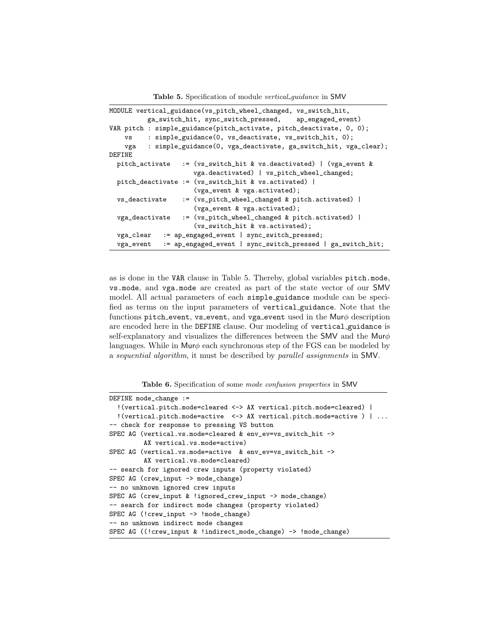Table 5. Specification of module *vertical quidance* in SMV

```
MODULE vertical_guidance(vs_pitch_wheel_changed, vs_switch_hit,
         ga_switch_hit, sync_switch_pressed, ap_engaged_event)
VAR pitch : simple_guidance(pitch_activate, pitch_deactivate, 0, 0);
          : simple_guidance(0, vs_deactivate, vs_switch_hit, 0);
   vga : simple_guidance(0, vga_deactivate, ga_switch_hit, vga_clear);
DEFINE
  pitch_activate := (vs_switch_hit & vs.deactivated) | (vga_event &
                     vga.deactivated) | vs_pitch_wheel_changed;
 pitch_deactivate := (vs_switch_hit & vs.activated) |
                      (vga_event & vga.activated);
  vs_deactivate := (vs_pitch_wheel_changed & pitch.activated) |
                      (vga_event & vga.activated);
  vga_deactivate := (vs_pitch_wheel_changed & pitch.activated) |
                      (vs_switch_hit & vs.activated);
  vga_clear := ap_engaged_event | sync_switch_pressed;
 vga_event := ap_engaged_event | sync_switch_pressed | ga_switch_hit;
```
as is done in the VAR clause in Table 5. Thereby, global variables pitch.mode, vs.mode, and vga.mode are created as part of the state vector of our SMV model. All actual parameters of each simple guidance module can be specified as terms on the input parameters of vertical guidance. Note that the functions pitch event, vs event, and vga event used in the Mur $\phi$  description are encoded here in the DEFINE clause. Our modeling of vertical guidance is self-explanatory and visualizes the differences between the SMV and the Mur $\phi$ languages. While in  $\mathsf{Mur}\phi$  each synchronous step of the FGS can be modeled by a sequential algorithm, it must be described by parallel assignments in SMV.

**Table 6.** Specification of some mode confusion properties in SMV

```
DEFINE mode_change :=
  !(vertical.pitch.mode=cleared <-> AX vertical.pitch.mode=cleared) |
  !(vertical.pitch.mode=active <-> AX vertical.pitch.mode=active ) | ...
-- check for response to pressing VS button
SPEC AG (vertical.vs.mode=cleared & env_ev=vs_switch_hit ->
         AX vertical.vs.mode=active)
SPEC AG (vertical.vs.mode=active & env_ev=vs_switch_hit ->
         AX vertical.vs.mode=cleared)
-- search for ignored crew inputs (property violated)
SPEC AG (crew_input -> mode_change)
-- no unknown ignored crew inputs
SPEC AG (crew_input & !ignored_crew_input -> mode_change)
-- search for indirect mode changes (property violated)
SPEC AG (!crew_input -> !mode_change)
-- no unknown indirect mode changes
SPEC AG ((!crew_input & !indirect_mode_change) -> !mode_change)
```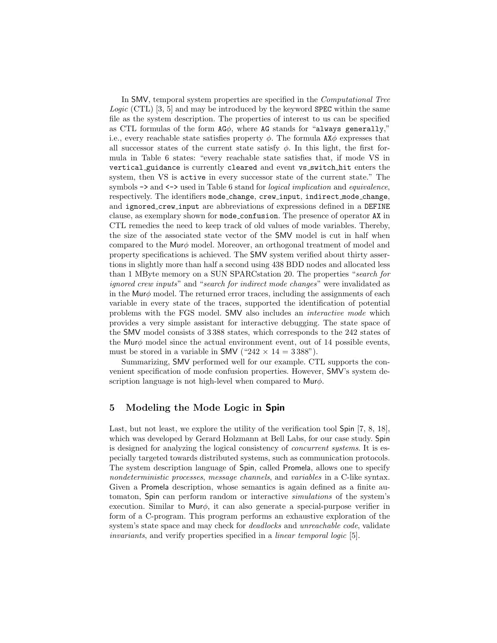In SMV, temporal system properties are specified in the Computational Tree Logic (CTL)  $[3, 5]$  and may be introduced by the keyword SPEC within the same file as the system description. The properties of interest to us can be specified as CTL formulas of the form  $AG\phi$ , where AG stands for "always generally," i.e., every reachable state satisfies property  $\phi$ . The formula  $AX\phi$  expresses that all successor states of the current state satisfy  $\phi$ . In this light, the first formula in Table 6 states: "every reachable state satisfies that, if mode VS in vertical guidance is currently cleared and event vs switch hit enters the system, then VS is active in every successor state of the current state." The symbols  $\rightarrow$  and  $\leftarrow$  used in Table 6 stand for *logical implication* and *equivalence*, respectively. The identifiers mode change, crew input, indirect mode change, and ignored crew input are abbreviations of expressions defined in a DEFINE clause, as exemplary shown for mode confusion. The presence of operator AX in CTL remedies the need to keep track of old values of mode variables. Thereby, the size of the associated state vector of the SMV model is cut in half when compared to the Mur $\phi$  model. Moreover, an orthogonal treatment of model and property specifications is achieved. The SMV system verified about thirty assertions in slightly more than half a second using 438 BDD nodes and allocated less than 1 MByte memory on a SUN SPARCstation 20. The properties "search for ignored crew inputs" and "search for indirect mode changes" were invalidated as in the Mur $\phi$  model. The returned error traces, including the assignments of each variable in every state of the traces, supported the identification of potential problems with the FGS model. SMV also includes an interactive mode which provides a very simple assistant for interactive debugging. The state space of the SMV model consists of 3 388 states, which corresponds to the 242 states of the Mur $\phi$  model since the actual environment event, out of 14 possible events, must be stored in a variable in SMV (" $242 \times 14 = 3388$ ").

Summarizing, SMV performed well for our example. CTL supports the convenient specification of mode confusion properties. However, SMV's system description language is not high-level when compared to Mur $\phi$ .

# **5 Modeling the Mode Logic in Spin**

Last, but not least, we explore the utility of the verification tool Spin [7, 8, 18], which was developed by Gerard Holzmann at Bell Labs, for our case study. Spin is designed for analyzing the logical consistency of concurrent systems. It is especially targeted towards distributed systems, such as communication protocols. The system description language of Spin, called Promela, allows one to specify nondeterministic processes, message channels, and variables in a C-like syntax. Given a Promela description, whose semantics is again defined as a finite automaton, Spin can perform random or interactive simulations of the system's execution. Similar to  $\mathsf{Mur}\phi$ , it can also generate a special-purpose verifier in form of a C-program. This program performs an exhaustive exploration of the system's state space and may check for *deadlocks* and *unreachable code*, validate invariants, and verify properties specified in a linear temporal logic [5].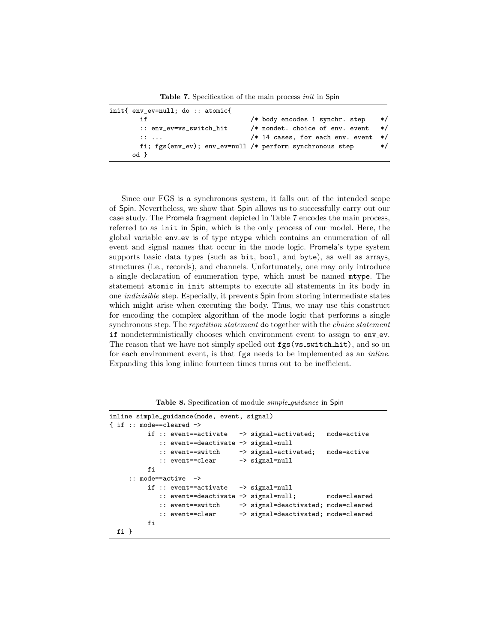Table 7. Specification of the main process *init* in Spin

```
init{ env_ev=null; do :: atomic{
      if /* body encodes 1 synchr. step */
      :: env_ev=vs_switch_hit /* nondet. choice of env. event */
      :: ... /* 14 cases, for each env. event */
      fi; fgs(env_ev); env_ev=null /* perform synchronous step */
    od }
```
Since our FGS is a synchronous system, it falls out of the intended scope of Spin. Nevertheless, we show that Spin allows us to successfully carry out our case study. The Promela fragment depicted in Table 7 encodes the main process, referred to as init in Spin, which is the only process of our model. Here, the global variable env ev is of type mtype which contains an enumeration of all event and signal names that occur in the mode logic. Promela's type system supports basic data types (such as bit, bool, and byte), as well as arrays, structures (i.e., records), and channels. Unfortunately, one may only introduce a single declaration of enumeration type, which must be named mtype. The statement atomic in init attempts to execute all statements in its body in one indivisible step. Especially, it prevents Spin from storing intermediate states which might arise when executing the body. Thus, we may use this construct for encoding the complex algorithm of the mode logic that performs a single synchronous step. The *repetition statement* do together with the *choice statement* if nondeterministically chooses which environment event to assign to env\_ev. The reason that we have not simply spelled out  $fgs(vs\_switch\_hit)$ , and so on for each environment event, is that fgs needs to be implemented as an *inline*. Expanding this long inline fourteen times turns out to be inefficient.

**Table 8.** Specification of module *simple\_quidance* in Spin

| inline simple_guidance(mode, event, signal) |    |  |                                                      |  |                                     |              |  |  |  |  |
|---------------------------------------------|----|--|------------------------------------------------------|--|-------------------------------------|--------------|--|--|--|--|
| $\{ if :: mode == closed \rightarrow\}$     |    |  |                                                      |  |                                     |              |  |  |  |  |
|                                             |    |  | if :: event==activate                                |  | $\rightarrow$ signal=activated;     | mode=active  |  |  |  |  |
|                                             |    |  | $\cdots$ event==deactivate $\rightarrow$ signal=null |  |                                     |              |  |  |  |  |
|                                             |    |  | :: event==switch                                     |  | -> signal=activated;                | mode=active  |  |  |  |  |
|                                             |    |  | $:$ event==clear                                     |  | $\rightarrow$ signal=null           |              |  |  |  |  |
|                                             | fi |  |                                                      |  |                                     |              |  |  |  |  |
| $:$ mode==active $\rightarrow$              |    |  |                                                      |  |                                     |              |  |  |  |  |
|                                             |    |  | if :: event==activate                                |  | -> signal=null                      |              |  |  |  |  |
|                                             |    |  | $\cdots$ event==deactivate -> signal=null;           |  |                                     | mode=cleared |  |  |  |  |
|                                             |    |  | $:$ event==switch                                    |  | -> signal=deactivated; mode=cleared |              |  |  |  |  |
|                                             |    |  | :: event==clear                                      |  | -> signal=deactivated; mode=cleared |              |  |  |  |  |
|                                             | fi |  |                                                      |  |                                     |              |  |  |  |  |
| fi ŀ                                        |    |  |                                                      |  |                                     |              |  |  |  |  |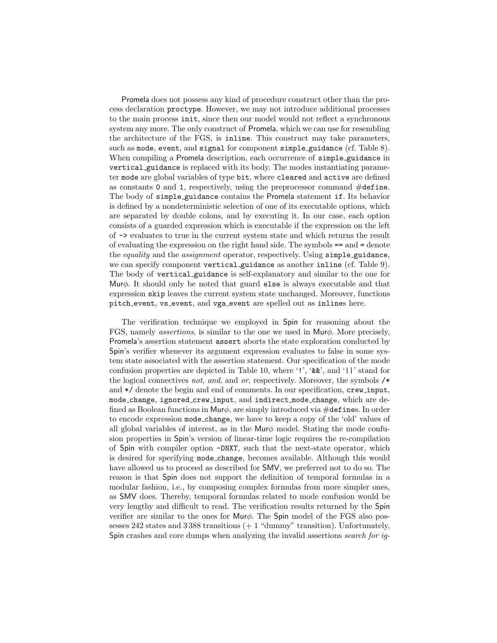Promela does not possess any kind of procedure construct other than the process declaration proctype. However, we may not introduce additional processes to the main process init, since then our model would not reflect a synchronous system any more. The only construct of Promela, which we can use for resembling the architecture of the FGS, is inline. This construct may take parameters, such as mode, event, and signal for component simple guidance (cf. Table 8). When compiling a Promela description, each occurrence of simple guidance in vertical guidance is replaced with its body. The modes instantiating parameter mode are global variables of type bit, where cleared and active are defined as constants  $0$  and  $1$ , respectively, using the preprocessor command  $\#$ define. The body of simple guidance contains the Promela statement if. Its behavior is defined by a nondeterministic selection of one of its executable options, which are separated by double colons, and by executing it. In our case, each option consists of a guarded expression which is executable if the expression on the left of -> evaluates to true in the current system state and which returns the result of evaluating the expression on the right hand side. The symbols == and = denote the equality and the assignment operator, respectively. Using simple guidance, we can specify component vertical guidance as another inline (cf. Table 9). The body of vertical guidance is self-explanatory and similar to the one for Murφ. It should only be noted that guard else is always executable and that expression skip leaves the current system state unchanged. Moreover, functions pitch event, vs event, and vga event are spelled out as inlines here.

The verification technique we employed in Spin for reasoning about the FGS, namely assertions, is similar to the one we used in Murφ. More precisely, Promela's assertion statement assert aborts the state exploration conducted by Spin's verifier whenever its argument expression evaluates to false in some system state associated with the assertion statement. Our specification of the mode confusion properties are depicted in Table 10, where '!', '&&', and '||' stand for the logical connectives *not*, and, and *or*, respectively. Moreover, the symbols  $/*$ and  $*/$  denote the begin and end of comments. In our specification, crew\_input, mode change, ignored crew input, and indirect mode change, which are defined as Boolean functions in  $\mathsf{Mur}\phi$ , are simply introduced via #defines. In order to encode expression mode change, we have to keep a copy of the 'old' values of all global variables of interest, as in the Mur $\phi$  model. Stating the mode confusion properties in Spin's version of linear-time logic requires the re-compilation of Spin with compiler option -DNXT, such that the next-state operator, which is desired for specifying mode change, becomes available. Although this would have allowed us to proceed as described for SMV, we preferred not to do so. The reason is that Spin does not support the definition of temporal formulas in a modular fashion, i.e., by composing complex formulas from more simpler ones, as SMV does. Thereby, temporal formulas related to mode confusion would be very lengthy and difficult to read. The verification results returned by the Spin verifier are similar to the ones for  $\mathsf{Mur}\phi$ . The Spin model of the FGS also possesses 242 states and 3 388 transitions  $(+ 1$  "dummy" transition). Unfortunately, Spin crashes and core dumps when analyzing the invalid assertions search for ig-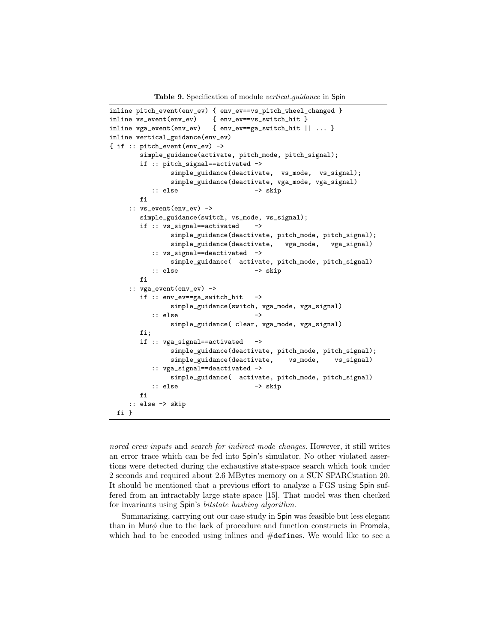Table 9. Specification of module vertical quidance in Spin

```
inline pitch_event(env_ev) { env_ev==vs_pitch_wheel_changed }
inline vs_event(env_ev) { env_ev==vs_switch_hit }
inline vga_event(env_ev) { env_ev==ga_switch_hit || ... }
inline vertical_guidance(env_ev)
{ if :: pitch_event(env_ev) ->
       simple_guidance(activate, pitch_mode, pitch_signal);
       if :: pitch_signal==activated ->
              simple_guidance(deactivate, vs_mode, vs_signal);
              simple_guidance(deactivate, vga_mode, vga_signal)
          :: else -> skip
       fi
    :: vs_event(env_ev) ->
       simple_guidance(switch, vs_mode, vs_signal);
       if :: vs_signal==activated ->
              simple_guidance(deactivate, pitch_mode, pitch_signal);
              simple_guidance(deactivate, vga_mode, vga_signal)
          :: vs_signal==deactivated ->
              simple_guidance( activate, pitch_mode, pitch_signal)
          :: else -> skip
       fi
    :: vga_event(env_ev) ->
       if :: env_ev==ga_switch_hit ->
              simple_guidance(switch, vga_mode, vga_signal)
          :: else ->
              simple_guidance( clear, vga_mode, vga_signal)
       fi;
       if :: vga_signal==activated ->
              simple_guidance(deactivate, pitch_mode, pitch_signal);
              simple_guidance(deactivate, vs_mode, vs_signal)
          :: vga_signal==deactivated ->
              simple_guidance( activate, pitch_mode, pitch_signal)
          :: else -> skip
       fi
    :: else -> skip
 fi }
```
nored crew inputs and search for indirect mode changes. However, it still writes an error trace which can be fed into Spin's simulator. No other violated assertions were detected during the exhaustive state-space search which took under 2 seconds and required about 2.6 MBytes memory on a SUN SPARCstation 20. It should be mentioned that a previous effort to analyze a FGS using Spin suffered from an intractably large state space [15]. That model was then checked for invariants using Spin's bitstate hashing algorithm.

Summarizing, carrying out our case study in Spin was feasible but less elegant than in Mur $\phi$  due to the lack of procedure and function constructs in Promela, which had to be encoded using inlines and #defines. We would like to see a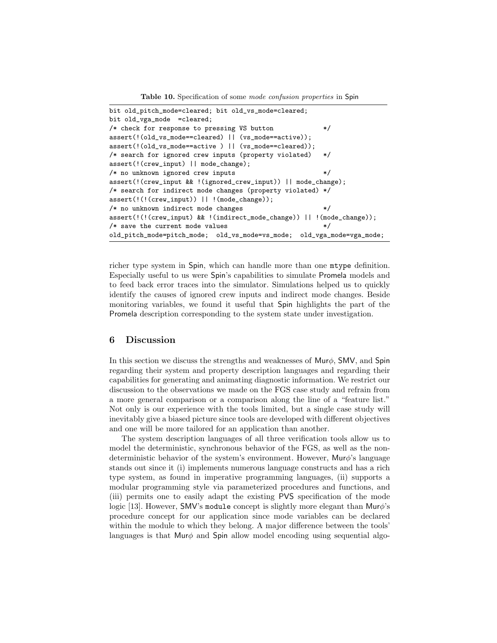**Table 10.** Specification of some mode confusion properties in Spin

```
bit old_pitch_mode=cleared; bit old_vs_mode=cleared;
bit old_vga_mode =cleared;
/* check for response to pressing VS button */
assert(!(old_vs_mode==cleared) || (vs_mode==active));
assert(!(old_vs_mode==active ) || (vs_mode==cleared));
/* search for ignored crew inputs (property violated) */
assert(!(crew_input) || mode_change);
/* no unknown ignored crew inputs */
assert(!(crew_input && !(ignored_crew_input)) || mode_change);
/* search for indirect mode changes (property violated) */
assert(!(!(crew_input)) || !(mode_change));
/* no unknown indirect mode changes */
assert(!(!(crew_input) && !(indirect_mode_change)) || !(mode_change));
/* save the current mode values */old_pitch_mode=pitch_mode; old_vs_mode=vs_mode; old_vga_mode=vga_mode;
```
richer type system in Spin, which can handle more than one mtype definition. Especially useful to us were Spin's capabilities to simulate Promela models and to feed back error traces into the simulator. Simulations helped us to quickly identify the causes of ignored crew inputs and indirect mode changes. Beside monitoring variables, we found it useful that Spin highlights the part of the Promela description corresponding to the system state under investigation.

#### **6 Discussion**

In this section we discuss the strengths and weaknesses of  $Mur\phi$ , SMV, and Spin regarding their system and property description languages and regarding their capabilities for generating and animating diagnostic information. We restrict our discussion to the observations we made on the FGS case study and refrain from a more general comparison or a comparison along the line of a "feature list." Not only is our experience with the tools limited, but a single case study will inevitably give a biased picture since tools are developed with different objectives and one will be more tailored for an application than another.

The system description languages of all three verification tools allow us to model the deterministic, synchronous behavior of the FGS, as well as the nondeterministic behavior of the system's environment. However,  $Mur\phi$ 's language stands out since it (i) implements numerous language constructs and has a rich type system, as found in imperative programming languages, (ii) supports a modular programming style via parameterized procedures and functions, and (iii) permits one to easily adapt the existing PVS specification of the mode logic [13]. However, SMV's module concept is slightly more elegant than  $Mur\phi$ 's procedure concept for our application since mode variables can be declared within the module to which they belong. A major difference between the tools' languages is that Mur $\phi$  and Spin allow model encoding using sequential algo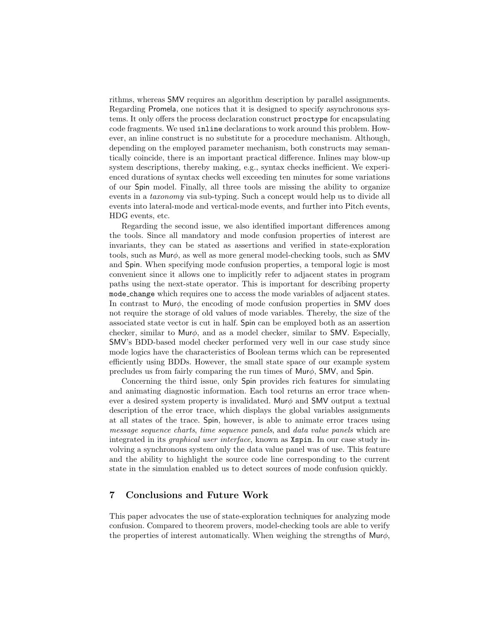rithms, whereas SMV requires an algorithm description by parallel assignments. Regarding Promela, one notices that it is designed to specify asynchronous systems. It only offers the process declaration construct proctype for encapsulating code fragments. We used inline declarations to work around this problem. However, an inline construct is no substitute for a procedure mechanism. Although, depending on the employed parameter mechanism, both constructs may semantically coincide, there is an important practical difference. Inlines may blow-up system descriptions, thereby making, e.g., syntax checks inefficient. We experienced durations of syntax checks well exceeding ten minutes for some variations of our Spin model. Finally, all three tools are missing the ability to organize events in a taxonomy via sub-typing. Such a concept would help us to divide all events into lateral-mode and vertical-mode events, and further into Pitch events, HDG events, etc.

Regarding the second issue, we also identified important differences among the tools. Since all mandatory and mode confusion properties of interest are invariants, they can be stated as assertions and verified in state-exploration tools, such as Murφ, as well as more general model-checking tools, such as SMV and Spin. When specifying mode confusion properties, a temporal logic is most convenient since it allows one to implicitly refer to adjacent states in program paths using the next-state operator. This is important for describing property mode change which requires one to access the mode variables of adjacent states. In contrast to Mur $\phi$ , the encoding of mode confusion properties in SMV does not require the storage of old values of mode variables. Thereby, the size of the associated state vector is cut in half. Spin can be employed both as an assertion checker, similar to Mur $\phi$ , and as a model checker, similar to SMV. Especially, SMV's BDD-based model checker performed very well in our case study since mode logics have the characteristics of Boolean terms which can be represented efficiently using BDDs. However, the small state space of our example system precludes us from fairly comparing the run times of  $Mur\phi$ , SMV, and Spin.

Concerning the third issue, only Spin provides rich features for simulating and animating diagnostic information. Each tool returns an error trace whenever a desired system property is invalidated. Mur $\phi$  and SMV output a textual description of the error trace, which displays the global variables assignments at all states of the trace. Spin, however, is able to animate error traces using message sequence charts, time sequence panels, and data value panels which are integrated in its *graphical user interface*, known as Xspin. In our case study involving a synchronous system only the data value panel was of use. This feature and the ability to highlight the source code line corresponding to the current state in the simulation enabled us to detect sources of mode confusion quickly.

## **7 Conclusions and Future Work**

This paper advocates the use of state-exploration techniques for analyzing mode confusion. Compared to theorem provers, model-checking tools are able to verify the properties of interest automatically. When weighing the strengths of  $Mur\phi$ ,